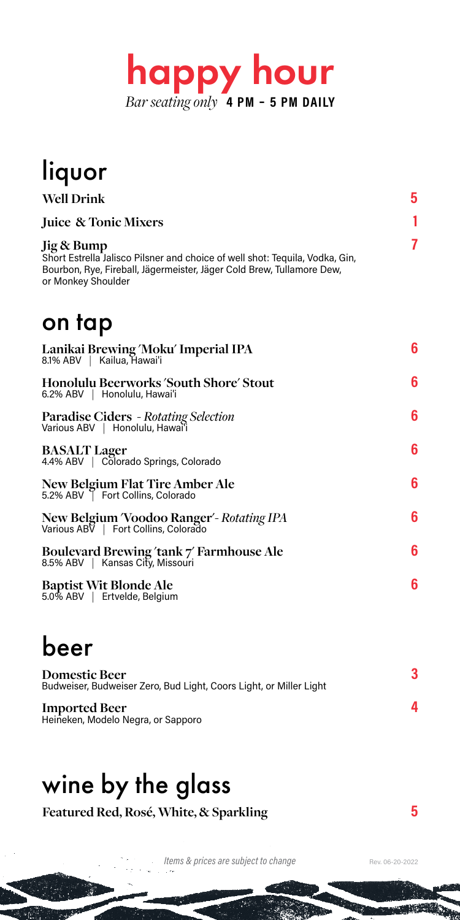

| liquor                                                                                                                                                                                    |   |
|-------------------------------------------------------------------------------------------------------------------------------------------------------------------------------------------|---|
| <b>Well Drink</b>                                                                                                                                                                         | 5 |
| <b>Juice &amp; Tonic Mixers</b>                                                                                                                                                           | 1 |
| Jig & Bump<br>Short Estrella Jalisco Pilsner and choice of well shot: Tequila, Vodka, Gin,<br>Bourbon, Rye, Fireball, Jägermeister, Jäger Cold Brew, Tullamore Dew,<br>or Monkey Shoulder | 7 |
| on tap                                                                                                                                                                                    |   |
| Lanikai Brewing 'Moku' Imperial IPA<br>8.1% ABV   Kailua, Hawai'i                                                                                                                         | 6 |
| Honolulu Beerworks 'South Shore' Stout<br>6.2% ABV   Honolulu, Hawai'i                                                                                                                    | 6 |
| <b>Paradise Ciders</b> - Rotating Selection<br>Various ABV       Honolulu, Hawaiʻi                                                                                                        | 6 |
| <b>BASALT Lager</b><br>4.4% ABV   Colorado Springs, Colorado                                                                                                                              | 6 |
| New Belgium Flat Tire Amber Ale<br>5.2% ABV   Fort Collins, Colorado                                                                                                                      | 6 |
| New Belgium 'Voodoo Ranger' - Rotating IPA<br>Various ABV   Fort Collins, Colorado                                                                                                        | 6 |
| Boulevard Brewing ′tank 7′ Farmhouse Ale<br>8.5% ABV       Kansas City, Missouri                                                                                                          | 6 |
| Baptist Wit Blonde Ale<br>5.0% ABV   Ertvelde, Belgium                                                                                                                                    | 6 |

## beer

| Domestic Beer<br>Budweiser, Budweiser Zero, Bud Light, Coors Light, or Miller Light |  |
|-------------------------------------------------------------------------------------|--|
| <b>Imported Beer</b><br>Heineken, Modelo Negra, or Sapporo                          |  |

## wine by the glass

**Featured Red, Rosé, White, & Sparkling 5**